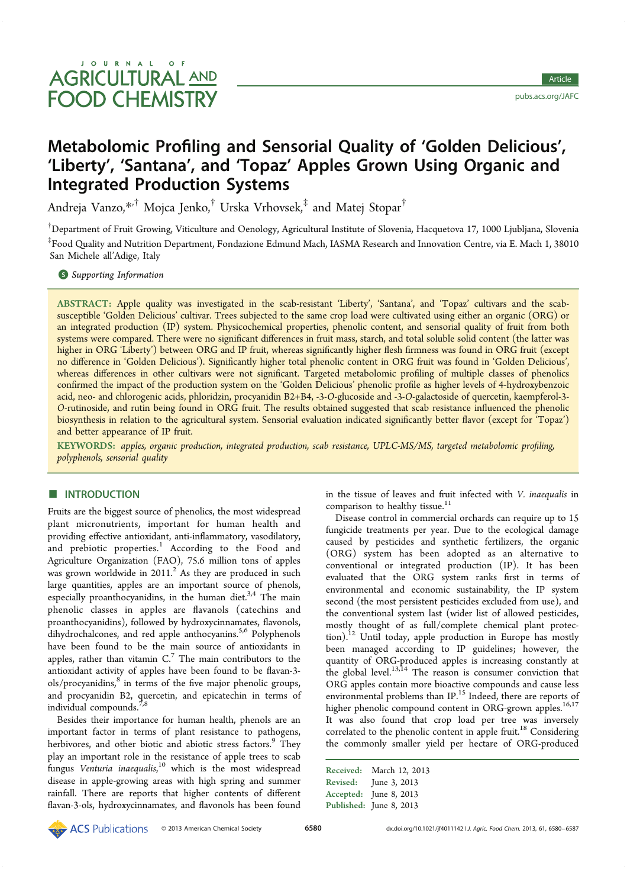pubs.acs.org/JAFC

## Metabolomic Profiling and Sensorial Quality of 'Golden Delicious', 'Liberty', 'Santana', and 'Topaz' Apples Grown Using Organic and Integrated Production Systems

Andreja Vanzo,\*<sup>,†</sup> Mojca Jenko,<sup>†</sup> Urska Vrhovsek,<sup>‡</sup> and Matej Stopar<sup>†</sup>

†Department of Fruit Growing, Viticulture and Oenology, Agricultural Institute of Slovenia, Hacquetova 17, 1000 Ljubljana, Slovenia ‡ Food Quality and Nutrition Department, Fondazione Edmund Mach, IASMA Research and Innovation Centre, via E. Mach 1, 38010 San Michele all'Adige, Italy

**S** Supporting Information

ABSTRACT: Apple quality was investigated in the scab-resistant 'Liberty', 'Santana', and 'Topaz' cultivars and the scabsusceptible 'Golden Delicious' cultivar. Trees subjected to the same crop load were cultivated using either an organic (ORG) or an integrated production (IP) system. Physicochemical properties, phenolic content, and sensorial quality of fruit from both systems were compared. There were no significant differences in fruit mass, starch, and total soluble solid content (the latter was higher in ORG 'Liberty') between ORG and IP fruit, whereas significantly higher flesh firmness was found in ORG fruit (except no difference in 'Golden Delicious'). Significantly higher total phenolic content in ORG fruit was found in 'Golden Delicious', whereas differences in other cultivars were not significant. Targeted metabolomic profiling of multiple classes of phenolics confirmed the impact of the production system on the 'Golden Delicious' phenolic profile as higher levels of 4-hydroxybenzoic acid, neo- and chlorogenic acids, phloridzin, procyanidin B2+B4, -3-O-glucoside and -3-O-galactoside of quercetin, kaempferol-3- O-rutinoside, and rutin being found in ORG fruit. The results obtained suggested that scab resistance influenced the phenolic biosynthesis in relation to the agricultural system. Sensorial evaluation indicated significantly better flavor (except for 'Topaz') and better appearance of IP fruit.

KEYWORDS: apples, organic production, integrated production, scab resistance, UPLC-MS/MS, targeted metabolomic profiling, polyphenols, sensorial quality

## **ENTRODUCTION**

Fruits are the biggest source of phenolics, the most widespread plant micronutrients, important for human health and providing effective antioxidant, anti-inflammatory, vasodilatory, and prebiotic properties.<sup>1</sup> According to the Food and Agriculture Organization (FAO), 75.6 million tons of apples was grown worldwide in  $2011$ <sup>2</sup> As they are produced in such large quantities, apples are an important source of phenols, especially proanthocyanidins, in the human diet. $3,4$  The main phenolic classes in apples are flavanols (catechins and proanthocyanidins), followed by hydroxycinnamates, flavonols, dihydrochalcones, and red apple anthocyanins.<sup>5,6</sup> Polyphenols have been found to be the main source of antioxidants in apples, rather than vitamin  $C<sup>7</sup>$  The main contributors to the antioxidant activity of apples have been found to be flavan-3 ols/procyanidins,<sup>8</sup> in terms of the five major phenolic groups, and procyanidin B2, quercetin, and epicatechin in terms of individual compounds.<sup>7</sup>

Besides their importance for human health, phenols are an important factor in terms of plant resistance to pathogens, herbivores, and other biotic and abiotic stress factors.<sup>9</sup> They play an important role in the resistance of apple trees to scab fungus Venturia inaequalis,<sup>10</sup> which is the most widespread disease in apple-growing areas with high spring and summer rainfall. There are reports that higher contents of different flavan-3-ols, hydroxycinnamates, and flavonols has been found in the tissue of leaves and fruit infected with V. inaequalis in comparison to healthy tissue. $11$ 

Disease control in commercial orchards can require up to 15 fungicide treatments per year. Due to the ecological damage caused by pesticides and synthetic fertilizers, the organic (ORG) system has been adopted as an alternative to conventional or integrated production (IP). It has been evaluated that the ORG system ranks first in terms of environmental and economic sustainability, the IP system second (the most persistent pesticides excluded from use), and the conventional system last (wider list of allowed pesticides, mostly thought of as full/complete chemical plant protection).<sup>12</sup> Until today, apple production in Europe has mostly been managed according to IP guidelines; however, the quantity of ORG-produced apples is increasing constantly at the global level.<sup>13,14</sup> The reason is consumer conviction that ORG apples contain more bioactive compounds and cause less environmental problems than IP.<sup>15</sup> Indeed, there are reports of higher phenolic compound content in ORG-grown apples.<sup>16,17</sup> It was also found that crop load per tree was inversely correlated to the phenolic content in apple fruit.<sup>18</sup> Considering the commonly smaller yield per hectare of ORG-produced

| Received:       | March 12, 2013          |
|-----------------|-------------------------|
| <b>Revised:</b> | June 3, 2013            |
| Accepted:       | June 8, 2013            |
|                 | Published: June 8, 2013 |